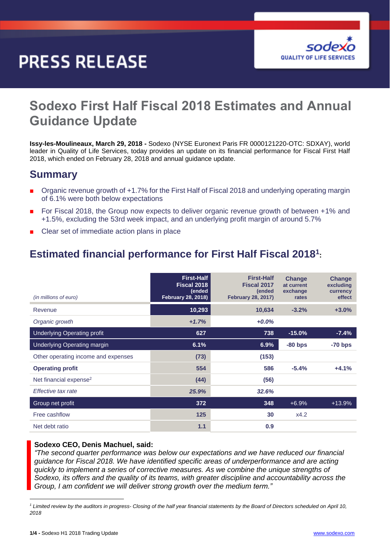# **PRESS RELEASE**



# **Sodexo First Half Fiscal 2018 Estimates and Annual Guidance Update**

**Issy-les-Moulineaux, March 29, 2018 -** Sodexo (NYSE Euronext Paris FR 0000121220-OTC: SDXAY), world leader in Quality of Life Services, today provides an update on its financial performance for Fiscal First Half 2018, which ended on February 28, 2018 and annual guidance update.

### **Summary**

- Organic revenue growth of +1.7% for the First Half of Fiscal 2018 and underlying operating margin of 6.1% were both below expectations
- For Fiscal 2018, the Group now expects to deliver organic revenue growth of between +1% and +1.5%, excluding the 53rd week impact, and an underlying profit margin of around 5.7%
- Clear set of immediate action plans in place

# **Estimated financial performance for First Half Fiscal 2018<sup>1</sup> :**

| (in millions of euro)               | <b>First-Half</b><br>Fiscal 2018<br>(ended<br><b>February 28, 2018)</b> | <b>First-Half</b><br>Fiscal 2017<br>(ended<br><b>February 28, 2017)</b> | <b>Change</b><br>at current<br>exchange<br>rates | Change<br>excluding<br>currency<br>effect |
|-------------------------------------|-------------------------------------------------------------------------|-------------------------------------------------------------------------|--------------------------------------------------|-------------------------------------------|
| Revenue                             | 10,293                                                                  | 10,634                                                                  | $-3.2%$                                          | $+3.0%$                                   |
| Organic growth                      | $+1.7%$                                                                 | $+0.0\%$                                                                |                                                  |                                           |
| <b>Underlying Operating profit</b>  | 627                                                                     | 738                                                                     | $-15.0%$                                         | $-7.4%$                                   |
| <b>Underlying Operating margin</b>  | 6.1%                                                                    | 6.9%                                                                    | $-80$ bps                                        | $-70$ bps                                 |
| Other operating income and expenses | (73)                                                                    | (153)                                                                   |                                                  |                                           |
| <b>Operating profit</b>             | 554                                                                     | 586                                                                     | $-5.4%$                                          | $+4.1%$                                   |
| Net financial expense <sup>2</sup>  | (44)                                                                    | (56)                                                                    |                                                  |                                           |
| Effective tax rate                  | 25.9%                                                                   | 32.6%                                                                   |                                                  |                                           |
| Group net profit                    | 372                                                                     | 348                                                                     | $+6.9%$                                          | $+13.9%$                                  |
| Free cashflow                       | 125                                                                     | 30                                                                      | x4.2                                             |                                           |
| Net debt ratio                      | 1.1                                                                     | 0.9                                                                     |                                                  |                                           |

#### **Sodexo CEO, Denis Machuel, said:**

*"The second quarter performance was below our expectations and we have reduced our financial guidance for Fiscal 2018. We have identified specific areas of underperformance and are acting quickly to implement a series of corrective measures. As we combine the unique strengths of Sodexo, its offers and the quality of its teams, with greater discipline and accountability across the Group, I am confident we will deliver strong growth over the medium term."* 

-

*<sup>1</sup> Limited review by the auditors in progress- Closing of the half year financial statements by the Board of Directors scheduled on April 10, 2018*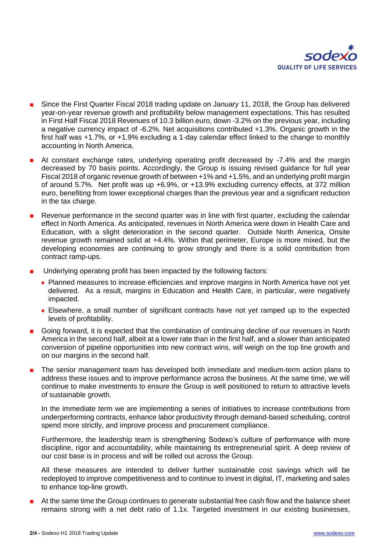

- Since the First Quarter Fiscal 2018 trading update on January 11, 2018, the Group has delivered year-on-year revenue growth and profitability below management expectations. This has resulted in First Half Fiscal 2018 Revenues of 10.3 billion euro, down -3.2% on the previous year, including a negative currency impact of -6.2%. Net acquisitions contributed +1.3%. Organic growth in the first half was +1.7%, or +1.9% excluding a 1-day calendar effect linked to the change to monthly accounting in North America.
- At constant exchange rates, underlying operating profit decreased by -7.4% and the margin decreased by 70 basis points. Accordingly, the Group is issuing revised guidance for full year Fiscal 2018 of organic revenue growth of between +1% and +1.5%, and an underlying profit margin of around 5.7%. Net profit was up +6.9%, or +13.9% excluding currency effects, at 372 million euro, benefiting from lower exceptional charges than the previous year and a significant reduction in the tax charge.
- Revenue performance in the second quarter was in line with first quarter, excluding the calendar effect in North America. As anticipated, revenues in North America were down in Health Care and Education, with a slight deterioration in the second quarter. Outside North America, Onsite revenue growth remained solid at +4.4%. Within that perimeter, Europe is more mixed, but the developing economies are continuing to grow strongly and there is a solid contribution from contract ramp-ups.
- Underlying operating profit has been impacted by the following factors:
	- Planned measures to increase efficiencies and improve margins in North America have not yet delivered. As a result, margins in Education and Health Care, in particular, were negatively impacted.
	- Elsewhere, a small number of significant contracts have not yet ramped up to the expected levels of profitability.
- Going forward, it is expected that the combination of continuing decline of our revenues in North America in the second half, albeit at a lower rate than in the first half, and a slower than anticipated conversion of pipeline opportunities into new contract wins, will weigh on the top line growth and on our margins in the second half.
- The senior management team has developed both immediate and medium-term action plans to address these issues and to improve performance across the business. At the same time, we will continue to make investments to ensure the Group is well positioned to return to attractive levels of sustainable growth.

In the immediate term we are implementing a series of initiatives to increase contributions from underperforming contracts, enhance labor productivity through demand-based scheduling, control spend more strictly, and improve process and procurement compliance.

Furthermore, the leadership team is strengthening Sodexo's culture of performance with more discipline, rigor and accountability, while maintaining its entrepreneurial spirit. A deep review of our cost base is in process and will be rolled out across the Group.

All these measures are intended to deliver further sustainable cost savings which will be redeployed to improve competitiveness and to continue to invest in digital, IT, marketing and sales to enhance top-line growth.

 At the same time the Group continues to generate substantial free cash flow and the balance sheet remains strong with a net debt ratio of 1.1x. Targeted investment in our existing businesses,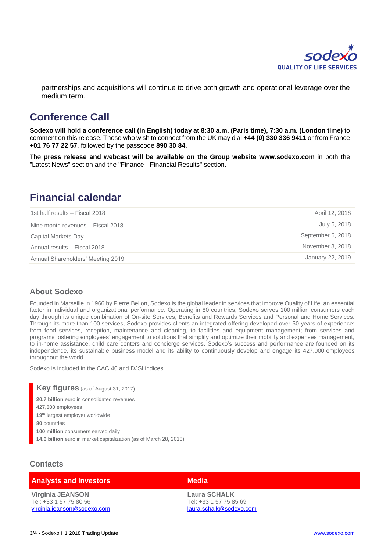

partnerships and acquisitions will continue to drive both growth and operational leverage over the medium term.

# **Conference Call**

**Sodexo will hold a conference call (in English) today at 8:30 a.m. (Paris time), 7:30 a.m. (London time)** to comment on this release. Those who wish to connect from the UK may dial **+44 (0) 330 336 9411** or from France **+01 76 77 22 57**, followed by the passcode **890 30 84**.

The **press release and webcast will be available on the Group website [www.sodexo.com](http://www.sodexo.com/)** in both the "Latest News" section and the "Finance - Financial Results" section.

### **Financial calendar**

| 1st half results - Fiscal 2018    | April 12, 2018    |
|-----------------------------------|-------------------|
| Nine month revenues - Fiscal 2018 | July 5, 2018      |
| Capital Markets Day               | September 6, 2018 |
| Annual results - Fiscal 2018      | November 8, 2018  |
| Annual Shareholders' Meeting 2019 | January 22, 2019  |

#### **About Sodexo**

Founded in Marseille in 1966 by Pierre Bellon, Sodexo is the global leader in services that improve Quality of Life, an essential factor in individual and organizational performance. Operating in 80 countries, Sodexo serves 100 million consumers each day through its unique combination of On-site Services, Benefits and Rewards Services and Personal and Home Services. Through its more than 100 services, Sodexo provides clients an integrated offering developed over 50 years of experience: from food services, reception, maintenance and cleaning, to facilities and equipment management; from services and programs fostering employees' engagement to solutions that simplify and optimize their mobility and expenses management, to in-home assistance, child care centers and concierge services. Sodexo's success and performance are founded on its independence, its sustainable business model and its ability to continuously develop and engage its 427,000 employees throughout the world.

Sodexo is included in the CAC 40 and DJSI indices.

**Key figures** (as of August 31, 2017) **20.7 billion** euro in consolidated revenues

**427,000** employees

**19th** largest employer worldwide **80** countries

**100 million** consumers served daily **14.6 billion** euro in market capitalization (as of March 28, 2018)

#### **Contacts**

| <b>Analysts and Investors</b>                                                    | <b>Media</b>                                                             |  |
|----------------------------------------------------------------------------------|--------------------------------------------------------------------------|--|
| <b>Virginia JEANSON</b><br>Tel: +33 1 57 75 80 56<br>virginia.jeanson@sodexo.com | <b>Laura SCHALK</b><br>Tel: +33 1 57 75 85 69<br>laura.schalk@sodexo.com |  |